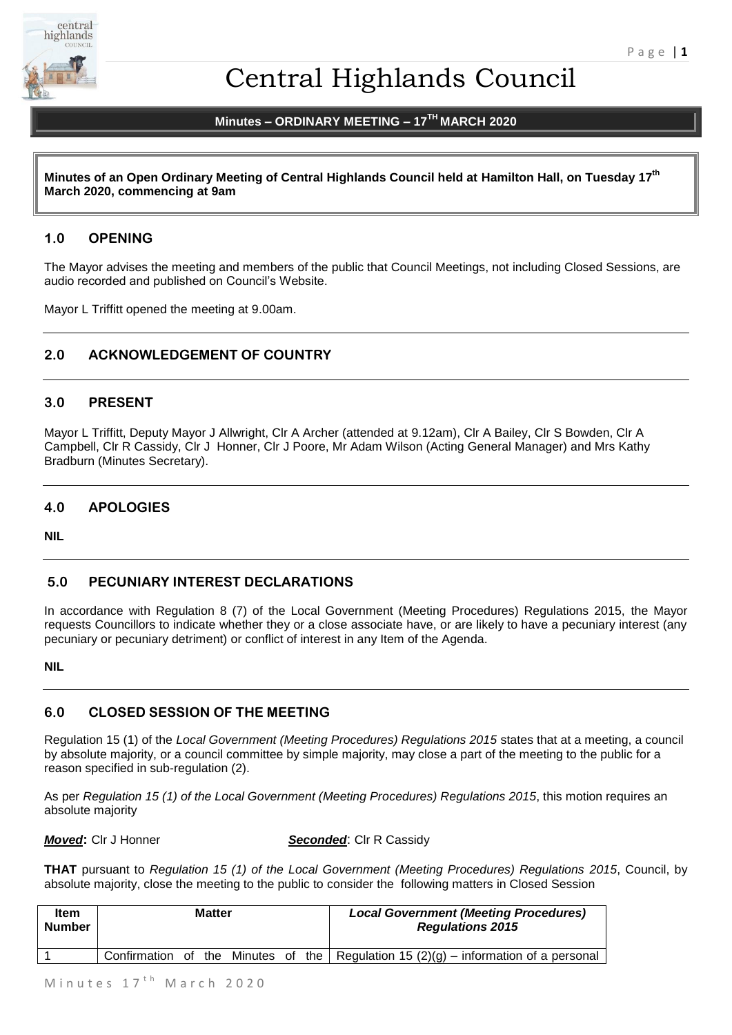

# Central Highlands Council

# **Minutes – ORDINARY MEETING – 17 TH MARCH 2020**

**Minutes of an Open Ordinary Meeting of Central Highlands Council held at Hamilton Hall, on Tuesday 17 th March 2020, commencing at 9am**

# **1.0 OPENING**

The Mayor advises the meeting and members of the public that Council Meetings, not including Closed Sessions, are audio recorded and published on Council's Website.

Mayor L Triffitt opened the meeting at 9.00am.

# **2.0 ACKNOWLEDGEMENT OF COUNTRY**

# **3.0 PRESENT**

Mayor L Triffitt, Deputy Mayor J Allwright, Clr A Archer (attended at 9.12am), Clr A Bailey, Clr S Bowden, Clr A Campbell, Clr R Cassidy, Clr J Honner, Clr J Poore, Mr Adam Wilson (Acting General Manager) and Mrs Kathy Bradburn (Minutes Secretary).

# **4.0 APOLOGIES**

**NIL**

# **5.0 PECUNIARY INTEREST DECLARATIONS**

In accordance with Regulation 8 (7) of the Local Government (Meeting Procedures) Regulations 2015, the Mayor requests Councillors to indicate whether they or a close associate have, or are likely to have a pecuniary interest (any pecuniary or pecuniary detriment) or conflict of interest in any Item of the Agenda.

#### **NIL**

# **6.0 CLOSED SESSION OF THE MEETING**

Regulation 15 (1) of the *Local Government (Meeting Procedures) Regulations 2015* states that at a meeting, a council by absolute majority, or a council committee by simple majority, may close a part of the meeting to the public for a reason specified in sub-regulation (2).

As per *Regulation 15 (1) of the Local Government (Meeting Procedures) Regulations 2015*, this motion requires an absolute majority

*Moved***:** Clr J Honner *Seconded*: Clr R Cassidy

**THAT** pursuant to *Regulation 15 (1) of the Local Government (Meeting Procedures) Regulations 2015*, Council, by absolute majority, close the meeting to the public to consider the following matters in Closed Session

| <b>Item</b><br><b>Number</b> | <b>Matter</b> |  |  |  | <b>Local Government (Meeting Procedures)</b><br><b>Regulations 2015</b> |                                                                                     |
|------------------------------|---------------|--|--|--|-------------------------------------------------------------------------|-------------------------------------------------------------------------------------|
|                              |               |  |  |  |                                                                         | Confirmation of the Minutes of the Regulation 15 (2)(g) – information of a personal |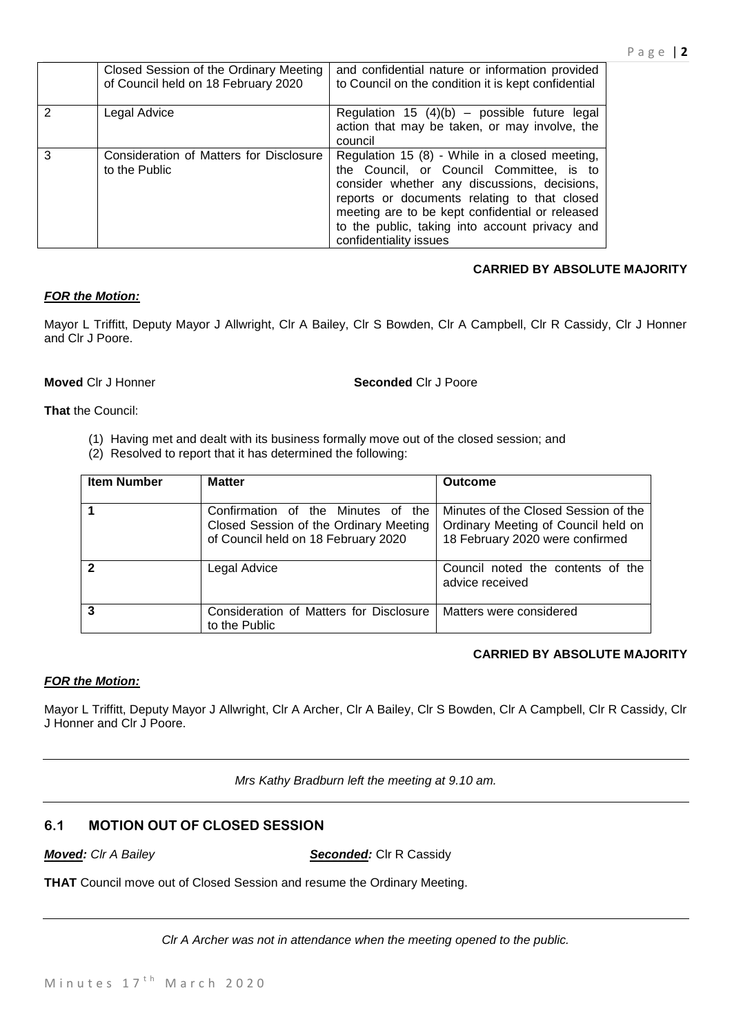|               | Closed Session of the Ordinary Meeting<br>of Council held on 18 February 2020 | and confidential nature or information provided<br>to Council on the condition it is kept confidential                                                                                                                                                                                                                    |
|---------------|-------------------------------------------------------------------------------|---------------------------------------------------------------------------------------------------------------------------------------------------------------------------------------------------------------------------------------------------------------------------------------------------------------------------|
| $\mathcal{P}$ | Legal Advice                                                                  | Regulation 15 $(4)(b)$ – possible future legal<br>action that may be taken, or may involve, the<br>council                                                                                                                                                                                                                |
| 3             | Consideration of Matters for Disclosure<br>to the Public                      | Regulation 15 (8) - While in a closed meeting,<br>the Council, or Council Committee, is to<br>consider whether any discussions, decisions,<br>reports or documents relating to that closed<br>meeting are to be kept confidential or released<br>to the public, taking into account privacy and<br>confidentiality issues |

# **CARRIED BY ABSOLUTE MAJORITY**

# *FOR the Motion:*

Mayor L Triffitt, Deputy Mayor J Allwright, Clr A Bailey, Clr S Bowden, Clr A Campbell, Clr R Cassidy, Clr J Honner and Clr J Poore.

#### **Moved** Clr J Honner **Seconded** Clr J Poore

**That** the Council:

- (1) Having met and dealt with its business formally move out of the closed session; and
- (2) Resolved to report that it has determined the following:

| <b>Item Number</b> | <b>Matter</b>                                                                                                       | <b>Outcome</b>                                                                                                 |
|--------------------|---------------------------------------------------------------------------------------------------------------------|----------------------------------------------------------------------------------------------------------------|
|                    | Confirmation of the Minutes of the<br>Closed Session of the Ordinary Meeting<br>of Council held on 18 February 2020 | Minutes of the Closed Session of the<br>Ordinary Meeting of Council held on<br>18 February 2020 were confirmed |
| $\overline{2}$     | Legal Advice                                                                                                        | Council noted the contents of the<br>advice received                                                           |
| $\overline{3}$     | Consideration of Matters for Disclosure<br>to the Public                                                            | Matters were considered                                                                                        |

# **CARRIED BY ABSOLUTE MAJORITY**

# *FOR the Motion:*

Mayor L Triffitt, Deputy Mayor J Allwright, Clr A Archer, Clr A Bailey, Clr S Bowden, Clr A Campbell, Clr R Cassidy, Clr J Honner and Clr J Poore.

*Mrs Kathy Bradburn left the meeting at 9.10 am.*

# **6.1 MOTION OUT OF CLOSED SESSION**

*Moved: Clr A Bailey Seconded:* Clr R Cassidy

**THAT** Council move out of Closed Session and resume the Ordinary Meeting.

*Clr A Archer was not in attendance when the meeting opened to the public.*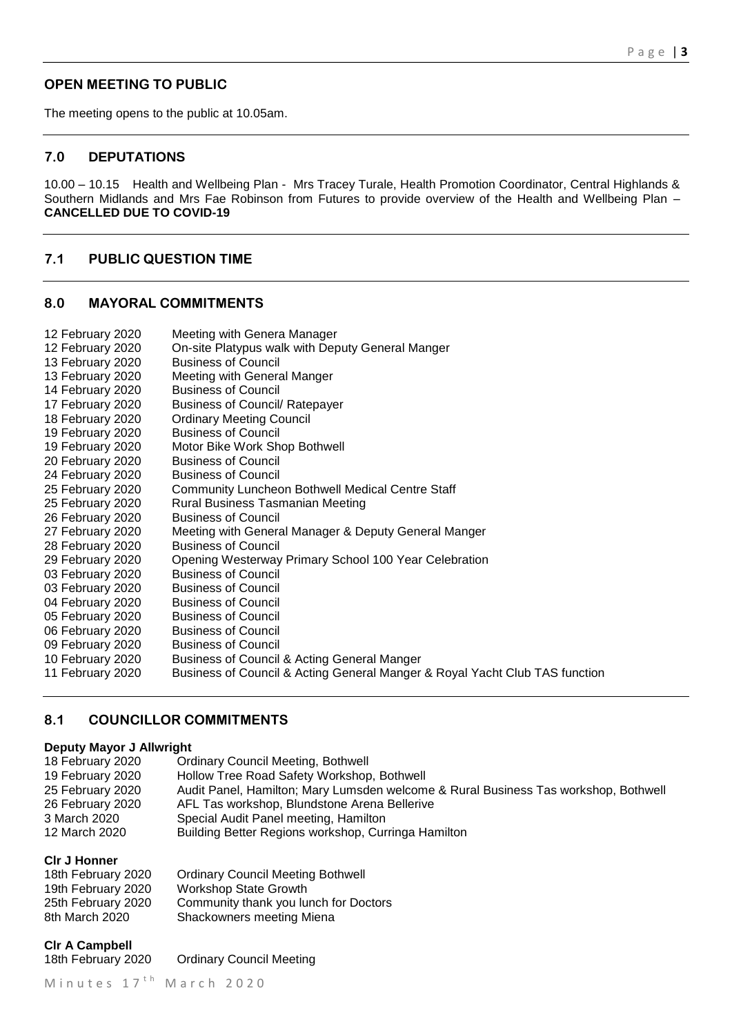# **OPEN MEETING TO PUBLIC**

The meeting opens to the public at 10.05am.

# **7.0 DEPUTATIONS**

10.00 – 10.15 Health and Wellbeing Plan - Mrs Tracey Turale, Health Promotion Coordinator, Central Highlands & Southern Midlands and Mrs Fae Robinson from Futures to provide overview of the Health and Wellbeing Plan – **CANCELLED DUE TO COVID-19** 

# **7.1 PUBLIC QUESTION TIME**

# **8.0 MAYORAL COMMITMENTS**

| 12 February 2020 | Meeting with Genera Manager                                                 |
|------------------|-----------------------------------------------------------------------------|
| 12 February 2020 | On-site Platypus walk with Deputy General Manger                            |
| 13 February 2020 | <b>Business of Council</b>                                                  |
| 13 February 2020 | Meeting with General Manger                                                 |
| 14 February 2020 | <b>Business of Council</b>                                                  |
| 17 February 2020 | <b>Business of Council/ Ratepayer</b>                                       |
| 18 February 2020 | <b>Ordinary Meeting Council</b>                                             |
| 19 February 2020 | <b>Business of Council</b>                                                  |
| 19 February 2020 | Motor Bike Work Shop Bothwell                                               |
| 20 February 2020 | <b>Business of Council</b>                                                  |
| 24 February 2020 | <b>Business of Council</b>                                                  |
| 25 February 2020 | <b>Community Luncheon Bothwell Medical Centre Staff</b>                     |
| 25 February 2020 | Rural Business Tasmanian Meeting                                            |
| 26 February 2020 | <b>Business of Council</b>                                                  |
| 27 February 2020 | Meeting with General Manager & Deputy General Manger                        |
| 28 February 2020 | <b>Business of Council</b>                                                  |
| 29 February 2020 | Opening Westerway Primary School 100 Year Celebration                       |
| 03 February 2020 | <b>Business of Council</b>                                                  |
| 03 February 2020 | <b>Business of Council</b>                                                  |
| 04 February 2020 | <b>Business of Council</b>                                                  |
| 05 February 2020 | <b>Business of Council</b>                                                  |
| 06 February 2020 | <b>Business of Council</b>                                                  |
| 09 February 2020 | <b>Business of Council</b>                                                  |
| 10 February 2020 | Business of Council & Acting General Manger                                 |
| 11 February 2020 | Business of Council & Acting General Manger & Royal Yacht Club TAS function |
|                  |                                                                             |

# **8.1 COUNCILLOR COMMITMENTS**

# **Deputy Mayor J Allwright**

| 18 February 2020 | <b>Ordinary Council Meeting, Bothwell</b>                                           |
|------------------|-------------------------------------------------------------------------------------|
| 19 February 2020 | Hollow Tree Road Safety Workshop, Bothwell                                          |
| 25 February 2020 | Audit Panel, Hamilton; Mary Lumsden welcome & Rural Business Tas workshop, Bothwell |
| 26 February 2020 | AFL Tas workshop, Blundstone Arena Bellerive                                        |
| 3 March 2020     | Special Audit Panel meeting, Hamilton                                               |
| 12 March 2020    | Building Better Regions workshop, Curringa Hamilton                                 |
|                  |                                                                                     |

#### **Clr J Honner**

| 18th February 2020 | <b>Ordinary Council Meeting Bothwell</b> |
|--------------------|------------------------------------------|
| 19th February 2020 | <b>Workshop State Growth</b>             |
| 25th February 2020 | Community thank you lunch for Doctors    |
| 8th March 2020     | Shackowners meeting Miena                |

**Clr A Campbell**

18th February 2020 Ordinary Council Meeting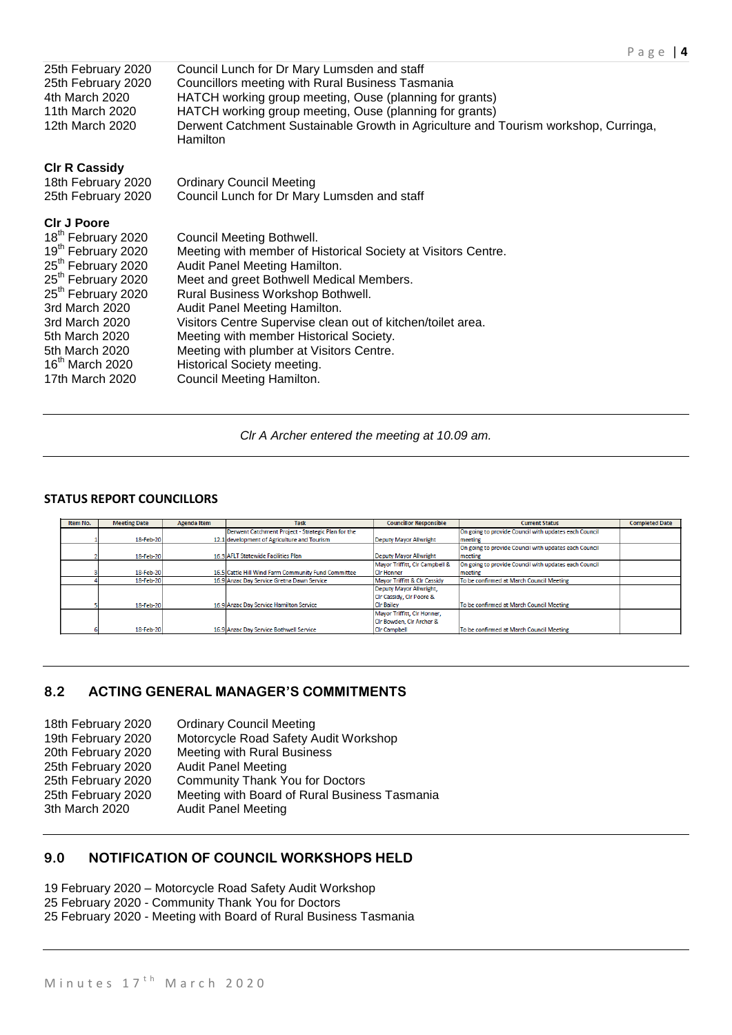| 25th February 2020<br>25th February 2020<br>4th March 2020<br>11th March 2020<br>12th March 2020                                                                                                                                                                                                                       | Council Lunch for Dr Mary Lumsden and staff<br>Councillors meeting with Rural Business Tasmania<br>HATCH working group meeting, Ouse (planning for grants)<br>HATCH working group meeting, Ouse (planning for grants)<br>Derwent Catchment Sustainable Growth in Agriculture and Tourism workshop, Curringa,<br><b>Hamilton</b>                                                                                                                                        |
|------------------------------------------------------------------------------------------------------------------------------------------------------------------------------------------------------------------------------------------------------------------------------------------------------------------------|------------------------------------------------------------------------------------------------------------------------------------------------------------------------------------------------------------------------------------------------------------------------------------------------------------------------------------------------------------------------------------------------------------------------------------------------------------------------|
| <b>CIr R Cassidy</b><br>18th February 2020<br>25th February 2020                                                                                                                                                                                                                                                       | <b>Ordinary Council Meeting</b><br>Council Lunch for Dr Mary Lumsden and staff                                                                                                                                                                                                                                                                                                                                                                                         |
| <b>CIr J Poore</b><br>18 <sup>th</sup> February 2020<br>19 <sup>th</sup> February 2020<br>25 <sup>th</sup> February 2020<br>25 <sup>th</sup> February 2020<br>25 <sup>th</sup> February 2020<br>3rd March 2020<br>3rd March 2020<br>5th March 2020<br>5th March 2020<br>16 <sup>th</sup> March 2020<br>17th March 2020 | Council Meeting Bothwell.<br>Meeting with member of Historical Society at Visitors Centre.<br>Audit Panel Meeting Hamilton.<br>Meet and greet Bothwell Medical Members.<br>Rural Business Workshop Bothwell.<br>Audit Panel Meeting Hamilton.<br>Visitors Centre Supervise clean out of kitchen/toilet area.<br>Meeting with member Historical Society.<br>Meeting with plumber at Visitors Centre.<br><b>Historical Society meeting.</b><br>Council Meeting Hamilton. |

#### *Clr A Archer entered the meeting at 10.09 am.*

# **STATUS REPORT COUNCILLORS**

| Item No. | <b>Meeting Date</b> | Agenda Item                                        | <b>Task</b>                                         | <b>Councillor Responsible</b>        | <b>Current Status</b>                                 | <b>Completed Date</b> |
|----------|---------------------|----------------------------------------------------|-----------------------------------------------------|--------------------------------------|-------------------------------------------------------|-----------------------|
|          |                     | Derwent Catchment Project - Strategic Plan for the |                                                     |                                      | On going to provide Council with updates each Council |                       |
|          | 18-Feb-20           |                                                    | 12.1 development of Agriculture and Tourism         | <b>Deputy Mayor Allwright</b>        | meeting                                               |                       |
|          |                     |                                                    |                                                     |                                      | On going to provide Council with updates each Council |                       |
|          | 18-Feb-20           |                                                    | 16.3 AFLT Statewide Facilities Plan                 | <b>Deputy Mayor Allwright</b>        | meeting                                               |                       |
|          |                     |                                                    |                                                     | Mayor Triffitt, CIr Campbell &       | On going to provide Council with updates each Council |                       |
|          | 18-Feb-20           |                                                    | 16.5 Cattle Hill Wind Farm Community Fund Committee | <b>CIr Honner</b>                    | meeting                                               |                       |
|          | 18-Feb-20           |                                                    | 16.9 Anzac Day Service Gretna Dawn Service          | Mayor Triffitt & CIr Cassidy         | To be confirmed at March Council Meeting              |                       |
|          |                     |                                                    |                                                     | Deputy Mayor Allwright.              |                                                       |                       |
|          |                     |                                                    |                                                     | <b>ICIr Cassidy, CIr Poore &amp;</b> |                                                       |                       |
|          | 18-Feb-20           |                                                    | 16.9 Anzac Day Service Hamilton Service             | <b>CIr Bailey</b>                    | To be confirmed at March Council Meeting              |                       |
|          |                     |                                                    |                                                     | Mayor Triffitt, CIr Honner,          |                                                       |                       |
|          |                     |                                                    |                                                     | Cir Bowden, Cir Archer &             |                                                       |                       |
|          | 18-Feb-20           |                                                    | 16.9 Anzac Day Service Bothwell Service             | <b>Cir Campbell</b>                  | To be confirmed at March Council Meeting              |                       |

# **8.2 ACTING GENERAL MANAGER'S COMMITMENTS**

| 18th February 2020 | <b>Ordinary Council Meeting</b>               |
|--------------------|-----------------------------------------------|
| 19th February 2020 | Motorcycle Road Safety Audit Workshop         |
| 20th February 2020 | Meeting with Rural Business                   |
| 25th February 2020 | <b>Audit Panel Meeting</b>                    |
| 25th February 2020 | <b>Community Thank You for Doctors</b>        |
| 25th February 2020 | Meeting with Board of Rural Business Tasmania |
| 3th March 2020     | <b>Audit Panel Meeting</b>                    |
|                    |                                               |

# **9.0 NOTIFICATION OF COUNCIL WORKSHOPS HELD**

19 February 2020 – Motorcycle Road Safety Audit Workshop

25 February 2020 - Community Thank You for Doctors

25 February 2020 - Meeting with Board of Rural Business Tasmania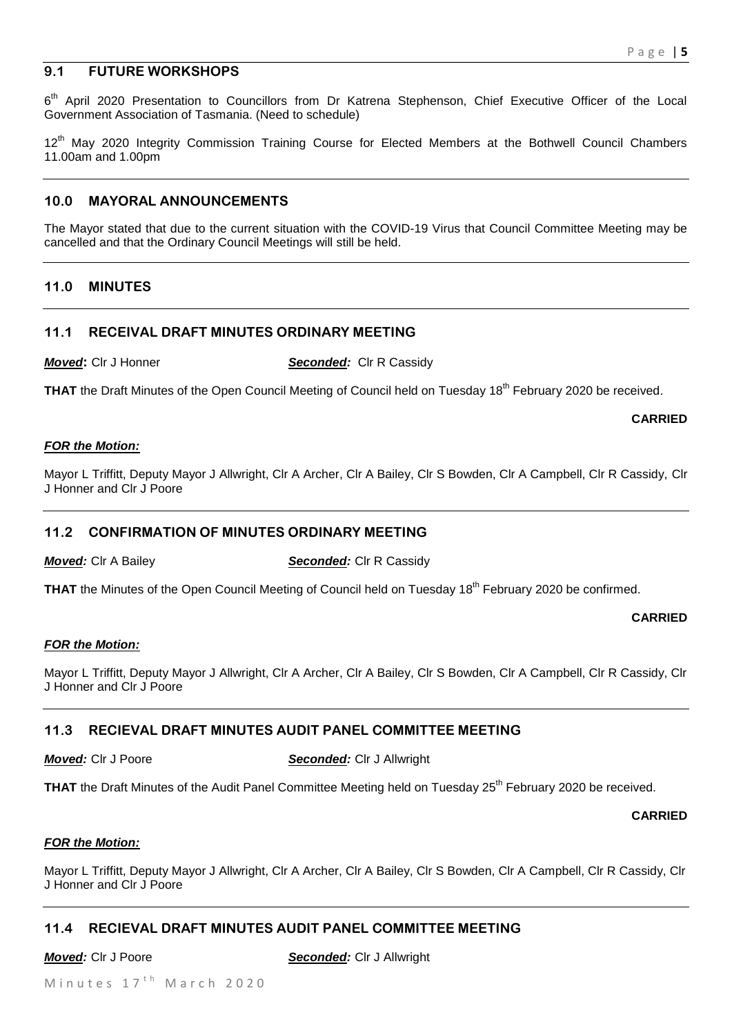# **9.1 FUTURE WORKSHOPS**

6<sup>th</sup> April 2020 Presentation to Councillors from Dr Katrena Stephenson, Chief Executive Officer of the Local Government Association of Tasmania. (Need to schedule)

12<sup>th</sup> May 2020 Integrity Commission Training Course for Elected Members at the Bothwell Council Chambers 11.00am and 1.00pm

# **10.0 MAYORAL ANNOUNCEMENTS**

The Mayor stated that due to the current situation with the COVID-19 Virus that Council Committee Meeting may be cancelled and that the Ordinary Council Meetings will still be held.

# **11.0 MINUTES**

# **11.1 RECEIVAL DRAFT MINUTES ORDINARY MEETING**

*Moved:* Clr J Honner **Seconded:** Clr R Cassidy

THAT the Draft Minutes of the Open Council Meeting of Council held on Tuesday 18<sup>th</sup> February 2020 be received.

#### **CARRIED**

#### *FOR the Motion:*

Mayor L Triffitt, Deputy Mayor J Allwright, Clr A Archer, Clr A Bailey, Clr S Bowden, Clr A Campbell, Clr R Cassidy, Clr J Honner and Clr J Poore

# **11.2 CONFIRMATION OF MINUTES ORDINARY MEETING**

# *Moved:* Clr A Bailey **Seconded:** Clr R Cassidy

**THAT** the Minutes of the Open Council Meeting of Council held on Tuesday 18<sup>th</sup> February 2020 be confirmed.

#### **CARRIED**

# *FOR the Motion:*

Mayor L Triffitt, Deputy Mayor J Allwright, Clr A Archer, Clr A Bailey, Clr S Bowden, Clr A Campbell, Clr R Cassidy, Clr J Honner and Clr J Poore

# **11.3 RECIEVAL DRAFT MINUTES AUDIT PANEL COMMITTEE MEETING**

*Moved:* Clr J Poore *Seconded:* Clr J Allwright

THAT the Draft Minutes of the Audit Panel Committee Meeting held on Tuesday 25<sup>th</sup> February 2020 be received.

**CARRIED**

#### *FOR the Motion:*

Mayor L Triffitt, Deputy Mayor J Allwright, Clr A Archer, Clr A Bailey, Clr S Bowden, Clr A Campbell, Clr R Cassidy, Clr J Honner and Clr J Poore

# **11.4 RECIEVAL DRAFT MINUTES AUDIT PANEL COMMITTEE MEETING**

*Moved:* Clr J Poore *Seconded:* Clr J Allwright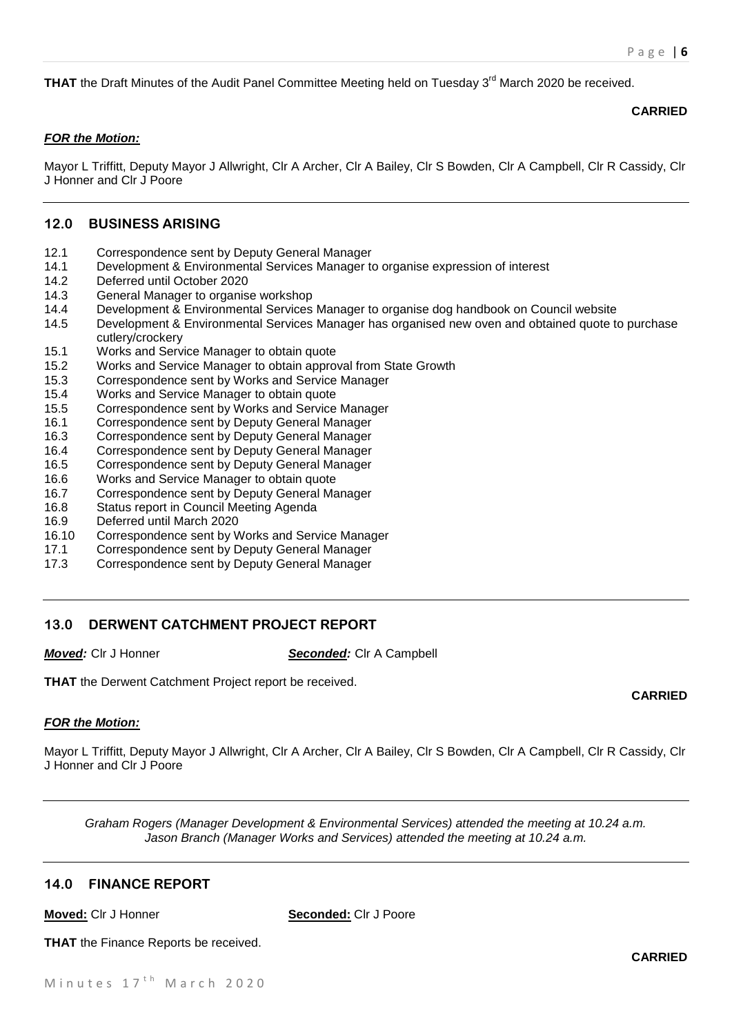**THAT** the Draft Minutes of the Audit Panel Committee Meeting held on Tuesday 3<sup>rd</sup> March 2020 be received.

### **CARRIED**

# *FOR the Motion:*

Mayor L Triffitt, Deputy Mayor J Allwright, Clr A Archer, Clr A Bailey, Clr S Bowden, Clr A Campbell, Clr R Cassidy, Clr J Honner and Clr J Poore

# **12.0 BUSINESS ARISING**

- 12.1 Correspondence sent by Deputy General Manager
- 14.1 Development & Environmental Services Manager to organise expression of interest
- 14.2 Deferred until October 2020
- 14.3 General Manager to organise workshop
- 14.4 Development & Environmental Services Manager to organise dog handbook on Council website
- 14.5 Development & Environmental Services Manager has organised new oven and obtained quote to purchase cutlery/crockery
- 15.1 Works and Service Manager to obtain quote
- 15.2 Works and Service Manager to obtain approval from State Growth
- 15.3 Correspondence sent by Works and Service Manager
- 15.4 Works and Service Manager to obtain quote
- 15.5 Correspondence sent by Works and Service Manager
- 16.1 Correspondence sent by Deputy General Manager
- 16.3 Correspondence sent by Deputy General Manager
- 16.4 Correspondence sent by Deputy General Manager
- 16.5 Correspondence sent by Deputy General Manager
- 16.6 Works and Service Manager to obtain quote
- 16.7 Correspondence sent by Deputy General Manager
- 16.8 Status report in Council Meeting Agenda
- 16.9 Deferred until March 2020
- 16.10 Correspondence sent by Works and Service Manager
- 17.1 Correspondence sent by Deputy General Manager
- 17.3 Correspondence sent by Deputy General Manager

# **13.0 DERWENT CATCHMENT PROJECT REPORT**

*Moved:* Clr J Honner *Seconded:* Clr A Campbell

**THAT** the Derwent Catchment Project report be received.

# *FOR the Motion:*

Mayor L Triffitt, Deputy Mayor J Allwright, Clr A Archer, Clr A Bailey, Clr S Bowden, Clr A Campbell, Clr R Cassidy, Clr J Honner and Clr J Poore

*Graham Rogers (Manager Development & Environmental Services) attended the meeting at 10.24 a.m. Jason Branch (Manager Works and Services) attended the meeting at 10.24 a.m.*

# **14.0 FINANCE REPORT**

|--|

**Seconded:** Clr J Poore

**THAT** the Finance Reports be received.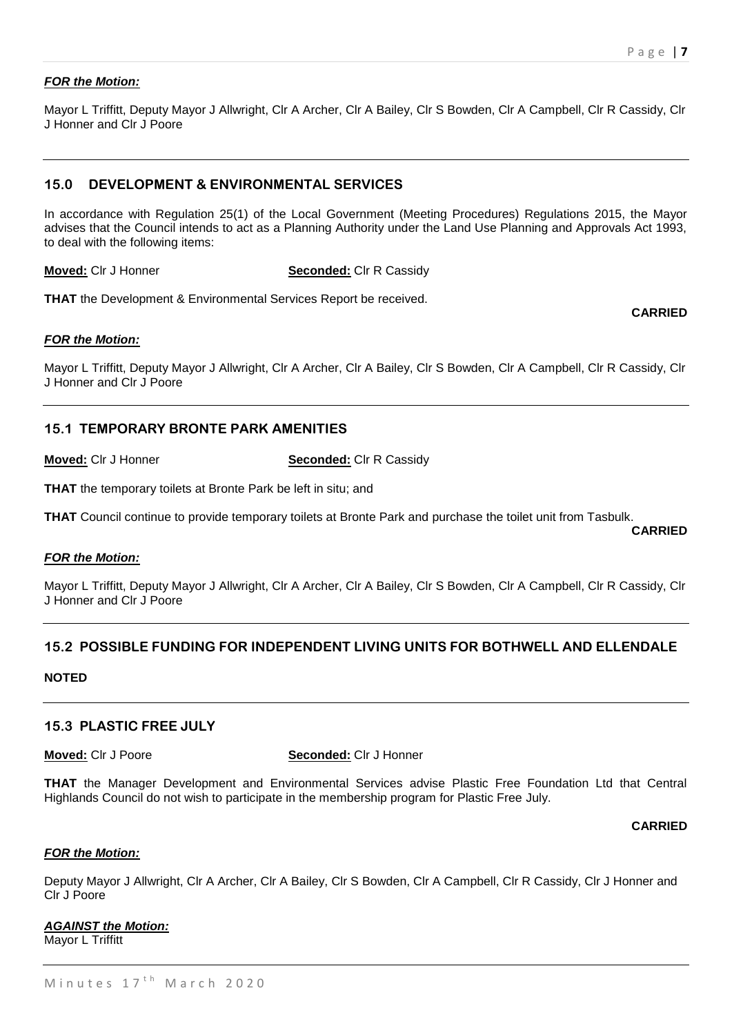# *FOR the Motion:*

Mayor L Triffitt, Deputy Mayor J Allwright, Clr A Archer, Clr A Bailey, Clr S Bowden, Clr A Campbell, Clr R Cassidy, Clr J Honner and Clr J Poore

# **15.0 DEVELOPMENT & ENVIRONMENTAL SERVICES**

In accordance with Regulation 25(1) of the Local Government (Meeting Procedures) Regulations 2015, the Mayor advises that the Council intends to act as a Planning Authority under the Land Use Planning and Approvals Act 1993, to deal with the following items:

**Moved:** Clr J Honner **Seconded:** Clr R Cassidy

**THAT** the Development & Environmental Services Report be received.

#### **CARRIED**

**CARRIED**

#### *FOR the Motion:*

Mayor L Triffitt, Deputy Mayor J Allwright, Clr A Archer, Clr A Bailey, Clr S Bowden, Clr A Campbell, Clr R Cassidy, Clr J Honner and Clr J Poore

# **15.1 TEMPORARY BRONTE PARK AMENITIES**

**Moved:** Clr J Honner **Seconded:** Clr R Cassidy

**THAT** the temporary toilets at Bronte Park be left in situ; and

**THAT** Council continue to provide temporary toilets at Bronte Park and purchase the toilet unit from Tasbulk.

#### *FOR the Motion:*

Mayor L Triffitt, Deputy Mayor J Allwright, Clr A Archer, Clr A Bailey, Clr S Bowden, Clr A Campbell, Clr R Cassidy, Clr J Honner and Clr J Poore

# **15.2 POSSIBLE FUNDING FOR INDEPENDENT LIVING UNITS FOR BOTHWELL AND ELLENDALE**

**NOTED**

# **15.3 PLASTIC FREE JULY**

**Moved:** Clr J Poore **Seconded:** Clr J Honner

**THAT** the Manager Development and Environmental Services advise Plastic Free Foundation Ltd that Central Highlands Council do not wish to participate in the membership program for Plastic Free July.

#### **CARRIED**

#### *FOR the Motion:*

Deputy Mayor J Allwright, Clr A Archer, Clr A Bailey, Clr S Bowden, Clr A Campbell, Clr R Cassidy, Clr J Honner and Clr J Poore

#### *AGAINST the Motion:*

Mayor L Triffitt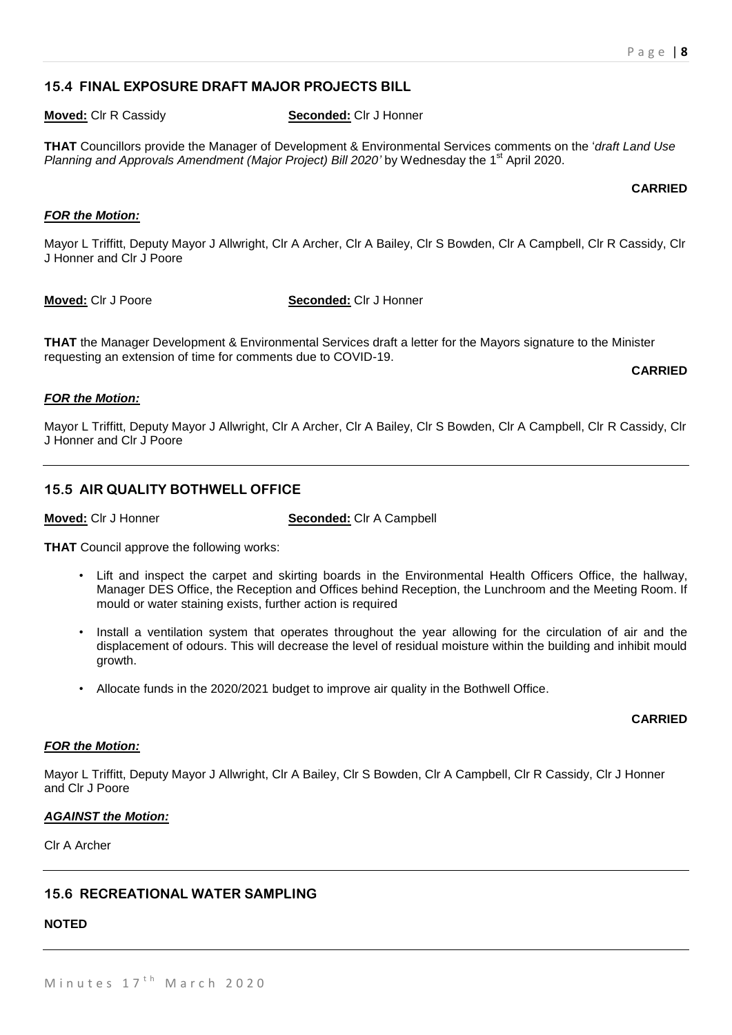# **15.4 FINAL EXPOSURE DRAFT MAJOR PROJECTS BILL**

#### **Moved:** Clr R Cassidy **Seconded:** Clr J Honner

**THAT** Councillors provide the Manager of Development & Environmental Services comments on the '*draft Land Use*  Planning and Approvals Amendment (Major Project) Bill 2020' by Wednesday the 1<sup>st</sup> April 2020.

#### **CARRIED**

# *FOR the Motion:*

Mayor L Triffitt, Deputy Mayor J Allwright, Clr A Archer, Clr A Bailey, Clr S Bowden, Clr A Campbell, Clr R Cassidy, Clr J Honner and Clr J Poore

**Moved:** Clr J Poore **Seconded:** Clr J Honner

**THAT** the Manager Development & Environmental Services draft a letter for the Mayors signature to the Minister requesting an extension of time for comments due to COVID-19.

#### **CARRIED**

# *FOR the Motion:*

Mayor L Triffitt, Deputy Mayor J Allwright, Clr A Archer, Clr A Bailey, Clr S Bowden, Clr A Campbell, Clr R Cassidy, Clr J Honner and Clr J Poore

# **15.5 AIR QUALITY BOTHWELL OFFICE**

**Moved:** Clr J Honner **Seconded:** Clr A Campbell

**THAT** Council approve the following works:

- Lift and inspect the carpet and skirting boards in the Environmental Health Officers Office, the hallway, Manager DES Office, the Reception and Offices behind Reception, the Lunchroom and the Meeting Room. If mould or water staining exists, further action is required
- Install a ventilation system that operates throughout the year allowing for the circulation of air and the displacement of odours. This will decrease the level of residual moisture within the building and inhibit mould growth.
- Allocate funds in the 2020/2021 budget to improve air quality in the Bothwell Office.

# **CARRIED**

# *FOR the Motion:*

Mayor L Triffitt, Deputy Mayor J Allwright, Clr A Bailey, Clr S Bowden, Clr A Campbell, Clr R Cassidy, Clr J Honner and Clr J Poore

#### *AGAINST the Motion:*

Clr A Archer

# **15.6 RECREATIONAL WATER SAMPLING**

# **NOTED**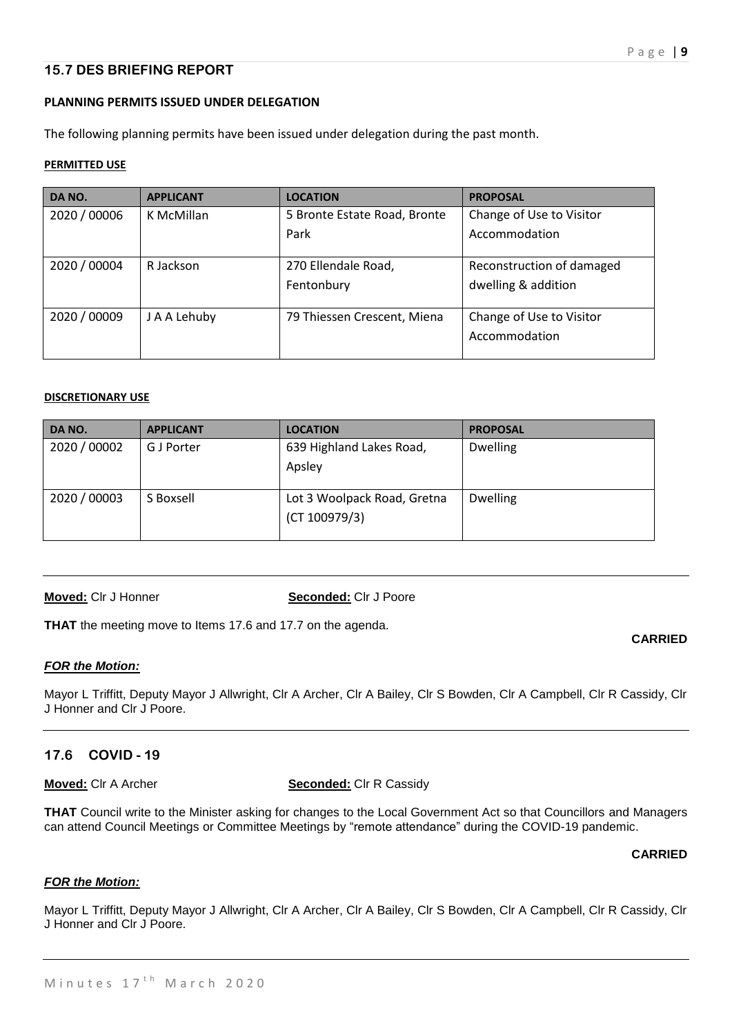# **15.7 DES BRIEFING REPORT**

# **PLANNING PERMITS ISSUED UNDER DELEGATION**

The following planning permits have been issued under delegation during the past month.

# **PERMITTED USE**

| DA NO.       | <b>APPLICANT</b> | <b>LOCATION</b>              | <b>PROPOSAL</b>           |
|--------------|------------------|------------------------------|---------------------------|
| 2020 / 00006 | K McMillan       | 5 Bronte Estate Road, Bronte | Change of Use to Visitor  |
|              |                  | Park                         | Accommodation             |
| 2020 / 00004 | R Jackson        | 270 Ellendale Road,          | Reconstruction of damaged |
|              |                  | Fentonbury                   | dwelling & addition       |
| 2020 / 00009 | J A A Lehuby     | 79 Thiessen Crescent, Miena  | Change of Use to Visitor  |
|              |                  |                              | Accommodation             |

# **DISCRETIONARY USE**

| DA NO.       | <b>APPLICANT</b> | <b>LOCATION</b>                              | <b>PROPOSAL</b> |
|--------------|------------------|----------------------------------------------|-----------------|
| 2020 / 00002 | G J Porter       | 639 Highland Lakes Road,<br>Apsley           | <b>Dwelling</b> |
| 2020 / 00003 | S Boxsell        | Lot 3 Woolpack Road, Gretna<br>(CT 100979/3) | <b>Dwelling</b> |

**Moved:** Clr J Honner **Seconded:** Clr J Poore

**THAT** the meeting move to Items 17.6 and 17.7 on the agenda.

# *FOR the Motion:*

Mayor L Triffitt, Deputy Mayor J Allwright, Clr A Archer, Clr A Bailey, Clr S Bowden, Clr A Campbell, Clr R Cassidy, Clr J Honner and Clr J Poore.

# **17.6 COVID - 19**

**Moved:** Clr A Archer **Seconded:** Clr R Cassidy

**THAT** Council write to the Minister asking for changes to the Local Government Act so that Councillors and Managers can attend Council Meetings or Committee Meetings by "remote attendance" during the COVID-19 pandemic.

# **CARRIED**

**CARRIED**

# *FOR the Motion:*

Mayor L Triffitt, Deputy Mayor J Allwright, Clr A Archer, Clr A Bailey, Clr S Bowden, Clr A Campbell, Clr R Cassidy, Clr J Honner and Clr J Poore.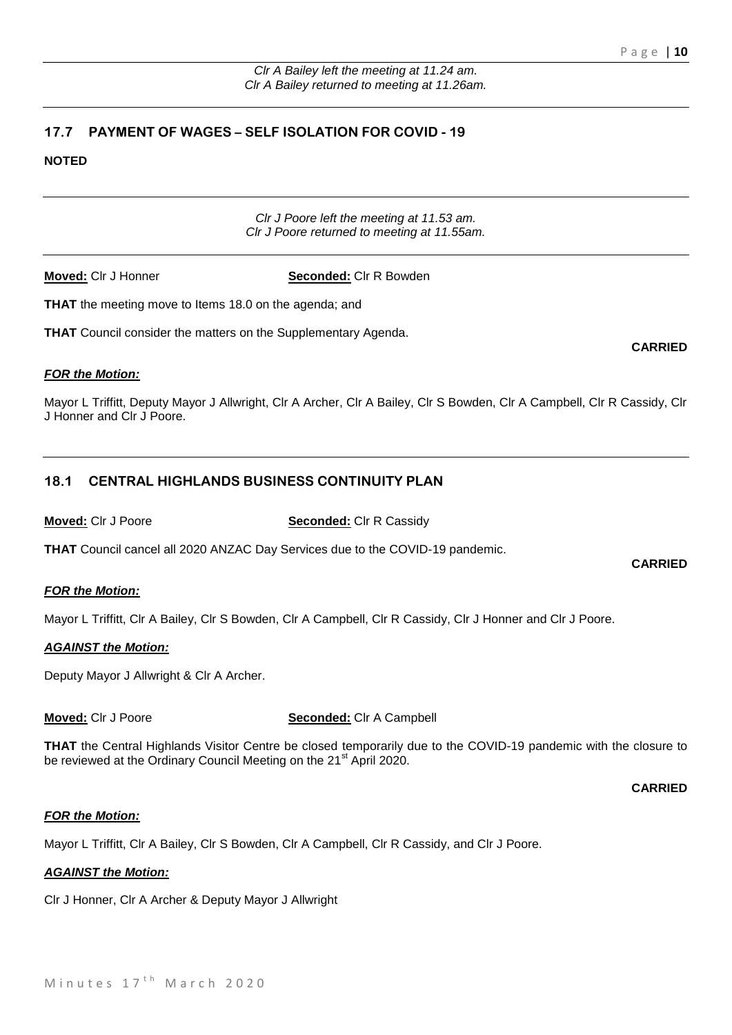**CARRIED**

**CARRIED**

# **17.7 PAYMENT OF WAGES – SELF ISOLATION FOR COVID - 19**

# **NOTED**

*Clr J Poore left the meeting at 11.53 am. Clr J Poore returned to meeting at 11.55am.*

**Moved:** Clr J Honner **Seconded:** Clr R Bowden

**THAT** the meeting move to Items 18.0 on the agenda; and

**THAT** Council consider the matters on the Supplementary Agenda.

*FOR the Motion:*

Mayor L Triffitt, Deputy Mayor J Allwright, Clr A Archer, Clr A Bailey, Clr S Bowden, Clr A Campbell, Clr R Cassidy, Clr J Honner and Clr J Poore.

# **18.1 CENTRAL HIGHLANDS BUSINESS CONTINUITY PLAN**

#### **Moved:** Clr J Poore **Seconded:** Clr R Cassidy

**THAT** Council cancel all 2020 ANZAC Day Services due to the COVID-19 pandemic.

# *FOR the Motion:*

Mayor L Triffitt, Clr A Bailey, Clr S Bowden, Clr A Campbell, Clr R Cassidy, Clr J Honner and Clr J Poore.

# *AGAINST the Motion:*

Deputy Mayor J Allwright & Clr A Archer.

**Moved:** Clr J Poore **Seconded:** Clr A Campbell

**THAT** the Central Highlands Visitor Centre be closed temporarily due to the COVID-19 pandemic with the closure to be reviewed at the Ordinary Council Meeting on the 21<sup>st</sup> April 2020.

#### **CARRIED**

# *FOR the Motion:*

Mayor L Triffitt, Clr A Bailey, Clr S Bowden, Clr A Campbell, Clr R Cassidy, and Clr J Poore.

# *AGAINST the Motion:*

Clr J Honner, Clr A Archer & Deputy Mayor J Allwright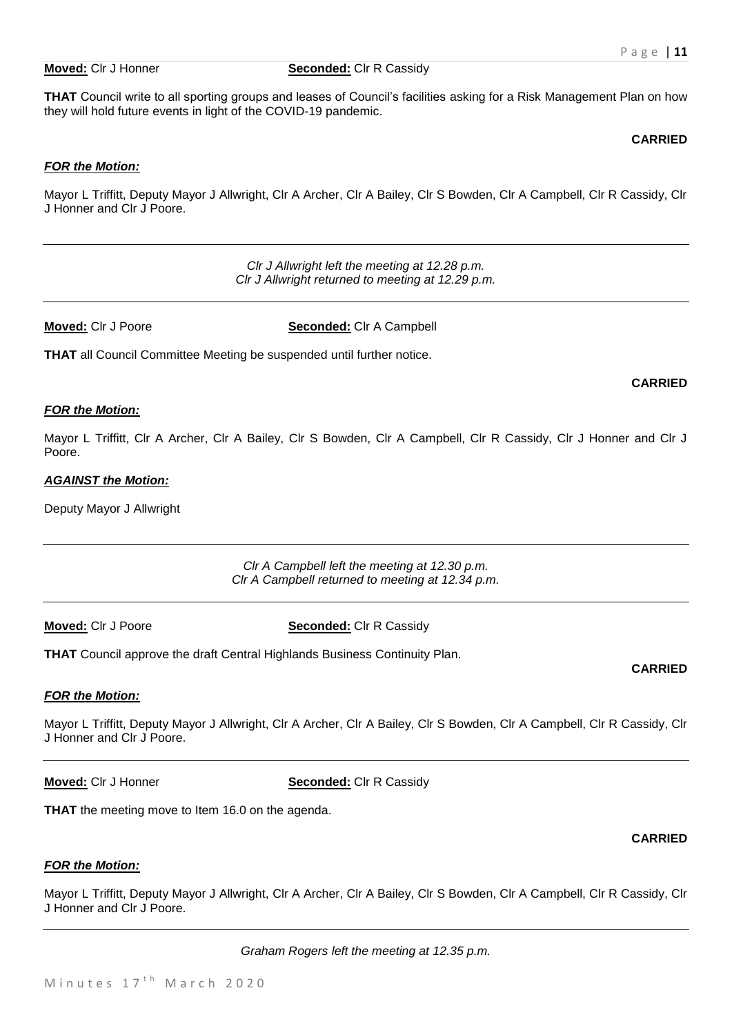#### **Moved:** Clr J Honner **Seconded:** Clr R Cassidy

**THAT** Council write to all sporting groups and leases of Council's facilities asking for a Risk Management Plan on how they will hold future events in light of the COVID-19 pandemic.

#### **CARRIED**

# *FOR the Motion:*

Mayor L Triffitt, Deputy Mayor J Allwright, Clr A Archer, Clr A Bailey, Clr S Bowden, Clr A Campbell, Clr R Cassidy, Clr J Honner and Clr J Poore.

> *Clr J Allwright left the meeting at 12.28 p.m. Clr J Allwright returned to meeting at 12.29 p.m.*

**Moved:** Clr J Poore **Seconded:** Clr A Campbell

**THAT** all Council Committee Meeting be suspended until further notice.

#### *FOR the Motion:*

Mayor L Triffitt, Clr A Archer, Clr A Bailey, Clr S Bowden, Clr A Campbell, Clr R Cassidy, Clr J Honner and Clr J Poore.

#### *AGAINST the Motion:*

Deputy Mayor J Allwright

*Clr A Campbell left the meeting at 12.30 p.m. Clr A Campbell returned to meeting at 12.34 p.m.*

**Moved:** Clr J Poore **Seconded:** Clr R Cassidy

**THAT** Council approve the draft Central Highlands Business Continuity Plan.

# *FOR the Motion:*

Mayor L Triffitt, Deputy Mayor J Allwright, Clr A Archer, Clr A Bailey, Clr S Bowden, Clr A Campbell, Clr R Cassidy, Clr J Honner and Clr J Poore.

**Moved:** Clr J Honner **Seconded:** Clr R Cassidy

**THAT** the meeting move to Item 16.0 on the agenda.

# *FOR the Motion:*

Mayor L Triffitt, Deputy Mayor J Allwright, Clr A Archer, Clr A Bailey, Clr S Bowden, Clr A Campbell, Clr R Cassidy, Clr J Honner and Clr J Poore.

*Graham Rogers left the meeting at 12.35 p.m.*

**CARRIED**

# **CARRIED**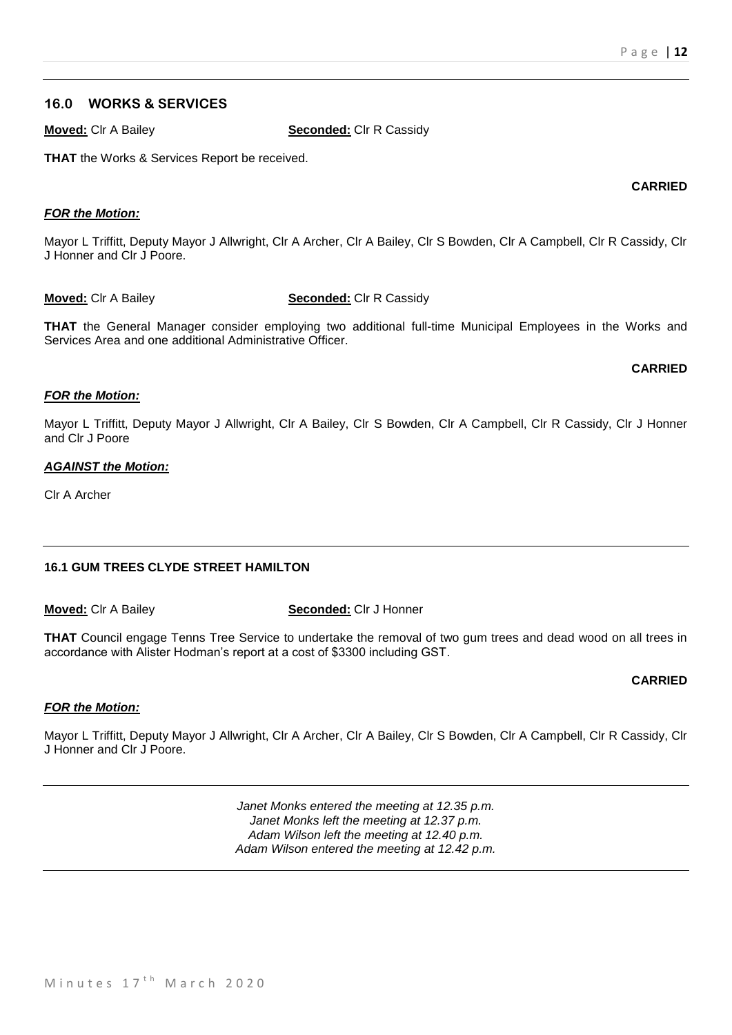### **16.0 WORKS & SERVICES**

**Moved:** Clr A Bailey **Seconded:** Clr R Cassidy

**THAT** the Works & Services Report be received.

#### *FOR the Motion:*

Mayor L Triffitt, Deputy Mayor J Allwright, Clr A Archer, Clr A Bailey, Clr S Bowden, Clr A Campbell, Clr R Cassidy, Clr J Honner and Clr J Poore.

#### **Moved:** Clr A Bailey **Seconded:** Clr R Cassidy

**THAT** the General Manager consider employing two additional full-time Municipal Employees in the Works and Services Area and one additional Administrative Officer.

#### **CARRIED**

#### *FOR the Motion:*

Mayor L Triffitt, Deputy Mayor J Allwright, Clr A Bailey, Clr S Bowden, Clr A Campbell, Clr R Cassidy, Clr J Honner and Clr J Poore

#### *AGAINST the Motion:*

Clr A Archer

# **16.1 GUM TREES CLYDE STREET HAMILTON**

**Moved:** Clr A Bailey **Seconded:** Clr J Honner

**THAT** Council engage Tenns Tree Service to undertake the removal of two gum trees and dead wood on all trees in accordance with Alister Hodman's report at a cost of \$3300 including GST.

# **CARRIED**

# *FOR the Motion:*

Mayor L Triffitt, Deputy Mayor J Allwright, Clr A Archer, Clr A Bailey, Clr S Bowden, Clr A Campbell, Clr R Cassidy, Clr J Honner and Clr J Poore.

> *Janet Monks entered the meeting at 12.35 p.m. Janet Monks left the meeting at 12.37 p.m. Adam Wilson left the meeting at 12.40 p.m. Adam Wilson entered the meeting at 12.42 p.m.*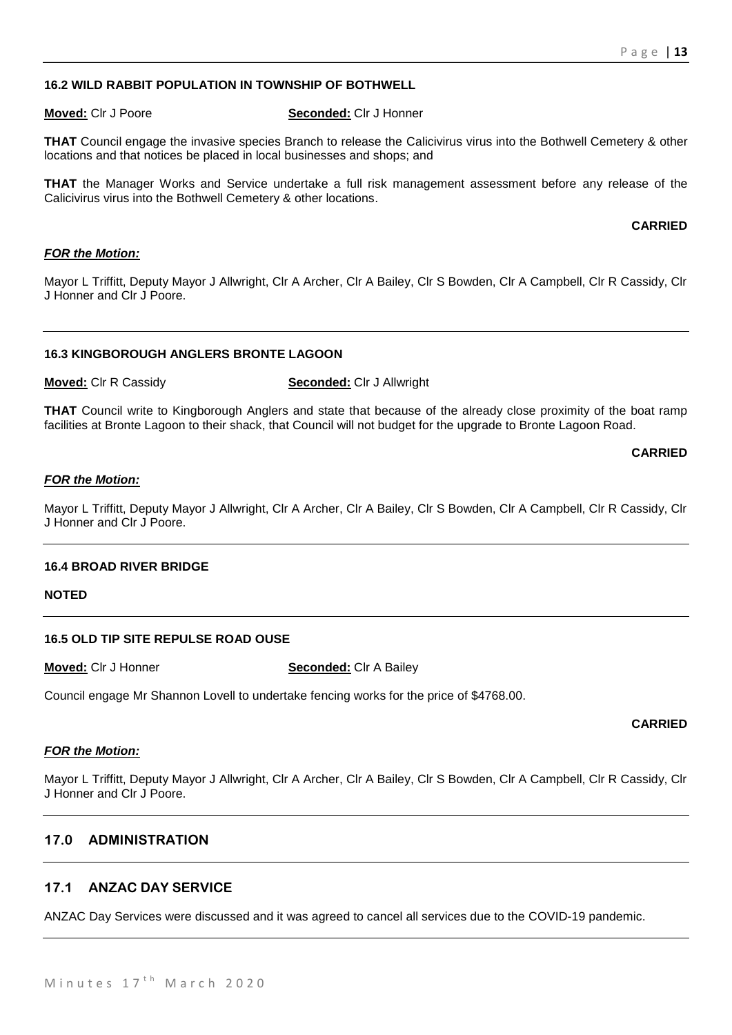# **16.2 WILD RABBIT POPULATION IN TOWNSHIP OF BOTHWELL**

#### **Moved:** Clr J Poore **Seconded:** Clr J Honner

**THAT** Council engage the invasive species Branch to release the Calicivirus virus into the Bothwell Cemetery & other locations and that notices be placed in local businesses and shops; and

**THAT** the Manager Works and Service undertake a full risk management assessment before any release of the Calicivirus virus into the Bothwell Cemetery & other locations.

#### **CARRIED**

### *FOR the Motion:*

Mayor L Triffitt, Deputy Mayor J Allwright, Clr A Archer, Clr A Bailey, Clr S Bowden, Clr A Campbell, Clr R Cassidy, Clr J Honner and Clr J Poore.

#### **16.3 KINGBOROUGH ANGLERS BRONTE LAGOON**

**Moved:** Clr R Cassidy **Seconded:** Clr J Allwright

**THAT** Council write to Kingborough Anglers and state that because of the already close proximity of the boat ramp facilities at Bronte Lagoon to their shack, that Council will not budget for the upgrade to Bronte Lagoon Road.

#### **CARRIED**

#### *FOR the Motion:*

Mayor L Triffitt, Deputy Mayor J Allwright, Clr A Archer, Clr A Bailey, Clr S Bowden, Clr A Campbell, Clr R Cassidy, Clr J Honner and Clr J Poore.

#### **16.4 BROAD RIVER BRIDGE**

#### **NOTED**

#### **16.5 OLD TIP SITE REPULSE ROAD OUSE**

**Moved:** Clr J Honner **Seconded:** Clr A Bailey

Council engage Mr Shannon Lovell to undertake fencing works for the price of \$4768.00.

#### **CARRIED**

#### *FOR the Motion:*

Mayor L Triffitt, Deputy Mayor J Allwright, Clr A Archer, Clr A Bailey, Clr S Bowden, Clr A Campbell, Clr R Cassidy, Clr J Honner and Clr J Poore.

# **17.0 ADMINISTRATION**

# **17.1 ANZAC DAY SERVICE**

ANZAC Day Services were discussed and it was agreed to cancel all services due to the COVID-19 pandemic.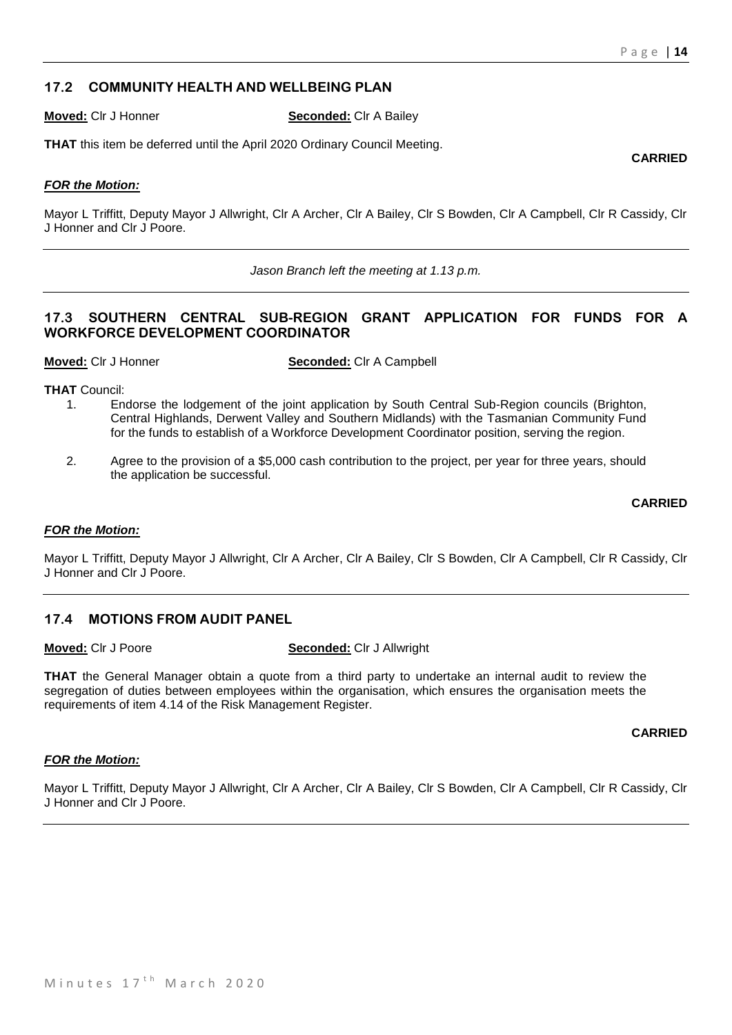# **17.2 COMMUNITY HEALTH AND WELLBEING PLAN**

**Moved:** Clr J Honner **Seconded:** Clr A Bailey

**THAT** this item be deferred until the April 2020 Ordinary Council Meeting.

# *FOR the Motion:*

Mayor L Triffitt, Deputy Mayor J Allwright, Clr A Archer, Clr A Bailey, Clr S Bowden, Clr A Campbell, Clr R Cassidy, Clr J Honner and Clr J Poore.

*Jason Branch left the meeting at 1.13 p.m.*

# **17.3 SOUTHERN CENTRAL SUB-REGION GRANT APPLICATION FOR FUNDS FOR A WORKFORCE DEVELOPMENT COORDINATOR**

**Moved:** Clr J Honner **Seconded:** Clr A Campbell

**THAT** Council:

- 1. Endorse the lodgement of the joint application by South Central Sub-Region councils (Brighton, Central Highlands, Derwent Valley and Southern Midlands) with the Tasmanian Community Fund for the funds to establish of a Workforce Development Coordinator position, serving the region.
- 2. Agree to the provision of a \$5,000 cash contribution to the project, per year for three years, should the application be successful.

#### **CARRIED**

#### *FOR the Motion:*

Mayor L Triffitt, Deputy Mayor J Allwright, Clr A Archer, Clr A Bailey, Clr S Bowden, Clr A Campbell, Clr R Cassidy, Clr J Honner and Clr J Poore.

# **17.4 MOTIONS FROM AUDIT PANEL**

**Moved:** Clr J Poore **Seconded:** Clr J Allwright

**THAT** the General Manager obtain a quote from a third party to undertake an internal audit to review the segregation of duties between employees within the organisation, which ensures the organisation meets the requirements of item 4.14 of the Risk Management Register.

**CARRIED**

# *FOR the Motion:*

Mayor L Triffitt, Deputy Mayor J Allwright, Clr A Archer, Clr A Bailey, Clr S Bowden, Clr A Campbell, Clr R Cassidy, Clr J Honner and Clr J Poore.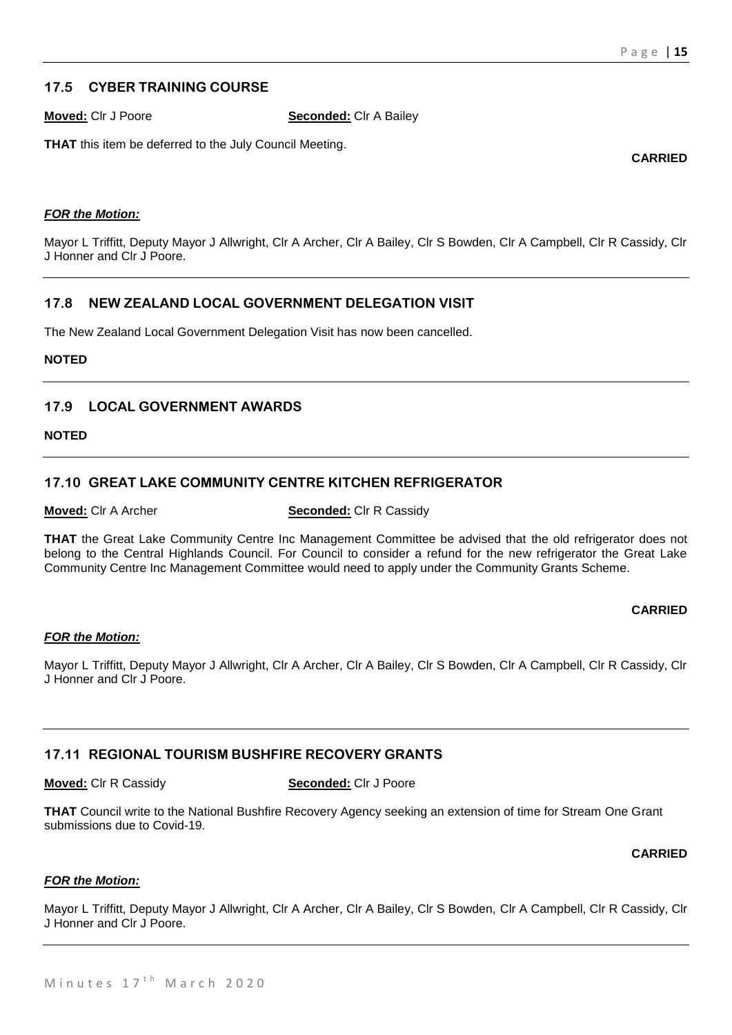# **17.5 CYBER TRAINING COURSE**

**Moved:** Clr J Poore **Seconded:** Clr A Bailey

**THAT** this item be deferred to the July Council Meeting.

**CARRIED**

# *FOR the Motion:*

Mayor L Triffitt, Deputy Mayor J Allwright, Clr A Archer, Clr A Bailey, Clr S Bowden, Clr A Campbell, Clr R Cassidy, Clr J Honner and Clr J Poore.

# **17.8 NEW ZEALAND LOCAL GOVERNMENT DELEGATION VISIT**

The New Zealand Local Government Delegation Visit has now been cancelled.

# **NOTED**

# **17.9 LOCAL GOVERNMENT AWARDS**

**NOTED**

# **17.10 GREAT LAKE COMMUNITY CENTRE KITCHEN REFRIGERATOR**

**Moved:** Clr A Archer **Seconded:** Clr R Cassidy

**THAT** the Great Lake Community Centre Inc Management Committee be advised that the old refrigerator does not belong to the Central Highlands Council. For Council to consider a refund for the new refrigerator the Great Lake Community Centre Inc Management Committee would need to apply under the Community Grants Scheme.

# **CARRIED**

# *FOR the Motion:*

Mayor L Triffitt, Deputy Mayor J Allwright, Clr A Archer, Clr A Bailey, Clr S Bowden, Clr A Campbell, Clr R Cassidy, Clr J Honner and Clr J Poore.

# **17.11 REGIONAL TOURISM BUSHFIRE RECOVERY GRANTS**

**Moved:** Clr R Cassidy **Seconded:** Clr J Poore

**THAT** Council write to the National Bushfire Recovery Agency seeking an extension of time for Stream One Grant submissions due to Covid-19.

**CARRIED**

#### *FOR the Motion:*

Mayor L Triffitt, Deputy Mayor J Allwright, Clr A Archer, Clr A Bailey, Clr S Bowden, Clr A Campbell, Clr R Cassidy, Clr J Honner and Clr J Poore.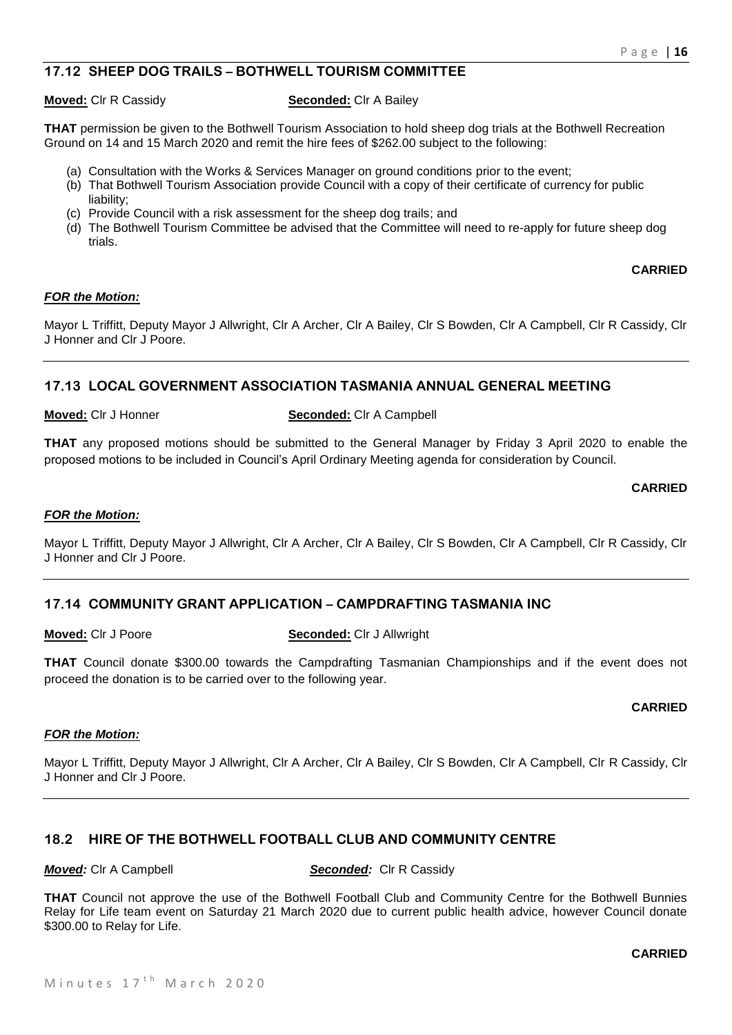# **17.12 SHEEP DOG TRAILS – BOTHWELL TOURISM COMMITTEE**

#### **Moved:** Clr R Cassidy **Seconded:** Clr A Bailey

**THAT** permission be given to the Bothwell Tourism Association to hold sheep dog trials at the Bothwell Recreation Ground on 14 and 15 March 2020 and remit the hire fees of \$262.00 subject to the following:

- (a) Consultation with the Works & Services Manager on ground conditions prior to the event;
- (b) That Bothwell Tourism Association provide Council with a copy of their certificate of currency for public liability;
- (c) Provide Council with a risk assessment for the sheep dog trails; and
- (d) The Bothwell Tourism Committee be advised that the Committee will need to re-apply for future sheep dog trials.

# **CARRIED**

#### *FOR the Motion:*

Mayor L Triffitt, Deputy Mayor J Allwright, Clr A Archer, Clr A Bailey, Clr S Bowden, Clr A Campbell, Clr R Cassidy, Clr J Honner and Clr J Poore.

# **17.13 LOCAL GOVERNMENT ASSOCIATION TASMANIA ANNUAL GENERAL MEETING**

#### **Moved:** Clr J Honner **Seconded:** Clr A Campbell

**THAT** any proposed motions should be submitted to the General Manager by Friday 3 April 2020 to enable the proposed motions to be included in Council's April Ordinary Meeting agenda for consideration by Council.

#### **CARRIED**

#### *FOR the Motion:*

Mayor L Triffitt, Deputy Mayor J Allwright, Clr A Archer, Clr A Bailey, Clr S Bowden, Clr A Campbell, Clr R Cassidy, Clr J Honner and Clr J Poore.

# **17.14 COMMUNITY GRANT APPLICATION – CAMPDRAFTING TASMANIA INC**

# **Moved:** Clr J Poore **Seconded:** Clr J Allwright

**THAT** Council donate \$300.00 towards the Campdrafting Tasmanian Championships and if the event does not proceed the donation is to be carried over to the following year.

# **CARRIED**

#### *FOR the Motion:*

Mayor L Triffitt, Deputy Mayor J Allwright, Clr A Archer, Clr A Bailey, Clr S Bowden, Clr A Campbell, Clr R Cassidy, Clr J Honner and Clr J Poore.

# **18.2 HIRE OF THE BOTHWELL FOOTBALL CLUB AND COMMUNITY CENTRE**

*Moved:* Clr A Campbell *Seconded:* Clr R Cassidy

**THAT** Council not approve the use of the Bothwell Football Club and Community Centre for the Bothwell Bunnies Relay for Life team event on Saturday 21 March 2020 due to current public health advice, however Council donate \$300.00 to Relay for Life.